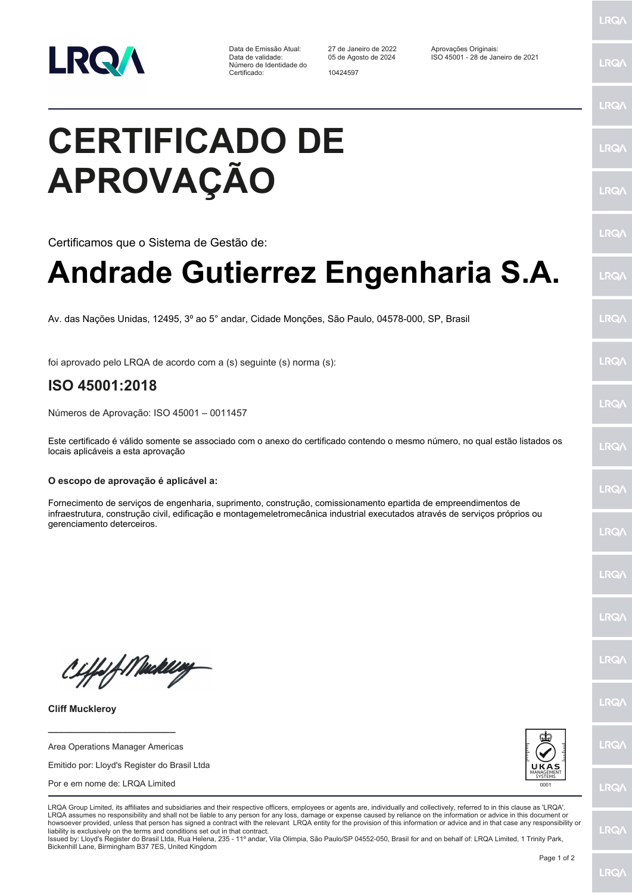

Número de Identidade do Certificado: 10424597

Data de Emissão Atual: 27 de Janeiro de 2022 Aprovações Originais: Data de validade: 05 de Agosto de 2024 ISO 45001 - 28 de Janeiro de 2021

## **CERTIFICADO DE APROVAÇÃO**

Certificamos que o Sistema de Gestão de:

## **Andrade Gutierrez Engenharia S.A.**

Av. das Nações Unidas, 12495, 3º ao 5° andar, Cidade Monções, São Paulo, 04578-000, SP, Brasil

foi aprovado pelo LRQA de acordo com a (s) seguinte (s) norma (s):

## **ISO 45001:2018**

Números de Aprovação: ISO 45001 – 0011457

Este certificado é válido somente se associado com o anexo do certificado contendo o mesmo número, no qual estão listados os locais aplicáveis a esta aprovação

## **O escopo de aprovação é aplicável a:**

Fornecimento de serviços de engenharia, suprimento, construção, comissionamento epartida de empreendimentos de infraestrutura, construção civil, edificação e montagemeletromecânica industrial executados através de serviços próprios ou gerenciamento deterceiros.

Ciffeft Medal

**Cliff Muckleroy**

Area Operations Manager Americas

**\_\_\_\_\_\_\_\_\_\_\_\_\_\_\_\_\_\_\_\_\_\_\_\_**

Emitido por: Lloyd's Register do Brasil Ltda

Por e em nome de: LRQA Limited



LRQA Group Limited, its affiliates and subsidiaries and their respective officers, employees or agents are, individually and collectively, referred to in this clause as 'LRQA'. LRQA assumes no responsibility and shall not be liable to any person for any loss, damage or expense caused by reliance on the information or advice in this document or howsoever provided, unless that person has signed a contract with the relevant LRQA entity for the provision of this information or advice and in that case any responsibility or liability is exclusively on the terms and conditions set out in that contract.

Issued by: Lloyd's Register do Brasil Ltda, Rua Helena, 235 - 11º andar, Vila Olimpia, São Paulo/SP 04552-050, Brasil for and on behalf of: LRQA Limited, 1 Trinity Park, Bickenhill Lane, Birmingham B37 7ES, United Kingdom



**LRQA** 

LRQ/

**LRQ/** 

LRQ/

LRQ/

LRQ/

LRQ/

LRQ/

**LRQA** 

LRQ/

LRQ/

LRQ/

**LRQ/** 

**LRQ/** 

LRQ/

**IRQA** 

LRQ/

LRQ/

**LRQ/** 

LRQ/